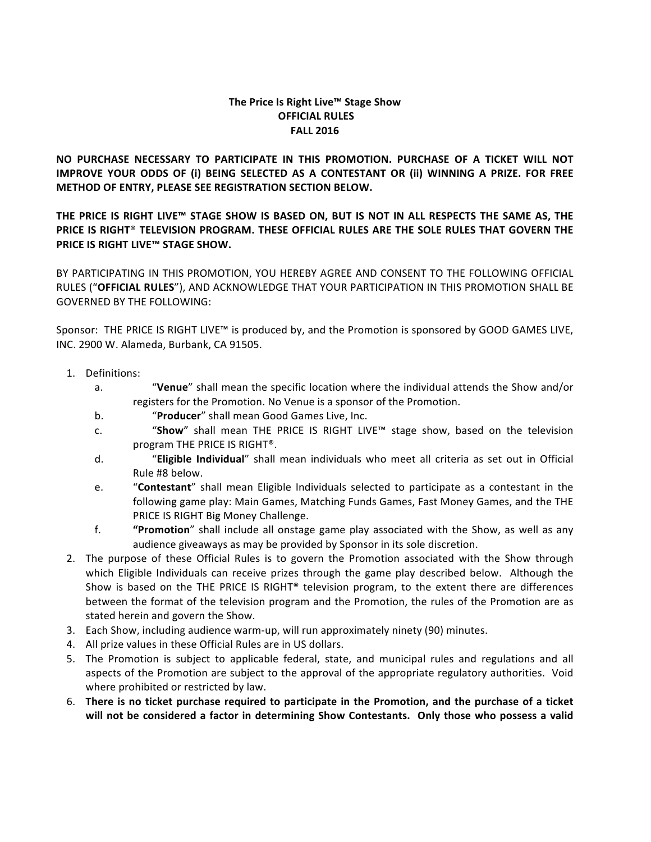# The Price Is Right Live™ Stage Show **OFFICIAL RULES FALL 2016**

**NO PURCHASE NECESSARY TO PARTICIPATE IN THIS PROMOTION. PURCHASE OF A TICKET WILL NOT IMPROVE YOUR ODDS OF (i) BEING SELECTED AS A CONTESTANT OR (ii) WINNING A PRIZE. FOR FREE METHOD OF ENTRY, PLEASE SEE REGISTRATION SECTION BELOW.** 

THE PRICE IS RIGHT LIVE™ STAGE SHOW IS BASED ON, BUT IS NOT IN ALL RESPECTS THE SAME AS, THE **PRICE IS RIGHT® TELEVISION PROGRAM. THESE OFFICIAL RULES ARE THE SOLE RULES THAT GOVERN THE PRICE IS RIGHT LIVE™ STAGE SHOW.** 

BY PARTICIPATING IN THIS PROMOTION, YOU HEREBY AGREE AND CONSENT TO THE FOLLOWING OFFICIAL RULES ("OFFICIAL RULES"), AND ACKNOWLEDGE THAT YOUR PARTICIPATION IN THIS PROMOTION SHALL BE **GOVERNED BY THE FOLLOWING:** 

Sponsor: THE PRICE IS RIGHT LIVE<sup> $M$ </sup> is produced by, and the Promotion is sponsored by GOOD GAMES LIVE, INC. 2900 W. Alameda, Burbank, CA 91505.

- 1. Definitions:
	- a. "Yenue" shall mean the specific location where the individual attends the Show and/or registers for the Promotion. No Venue is a sponsor of the Promotion.
	- b. "Producer" shall mean Good Games Live, Inc.
	- c. "Show" shall mean THE PRICE IS RIGHT LIVE™ stage show, based on the television program THE PRICE IS RIGHT®.
	- d. "**Eligible Individual**" shall mean individuals who meet all criteria as set out in Official Rule #8 below.
	- e. "**Contestant**" shall mean Eligible Individuals selected to participate as a contestant in the following game play: Main Games, Matching Funds Games, Fast Money Games, and the THE PRICE IS RIGHT Big Money Challenge.
	- f. **"Promotion**" shall include all onstage game play associated with the Show, as well as any audience giveaways as may be provided by Sponsor in its sole discretion.
- 2. The purpose of these Official Rules is to govern the Promotion associated with the Show through which Eligible Individuals can receive prizes through the game play described below. Although the Show is based on the THE PRICE IS RIGHT<sup>®</sup> television program, to the extent there are differences between the format of the television program and the Promotion, the rules of the Promotion are as stated herein and govern the Show.
- 3. Each Show, including audience warm-up, will run approximately ninety (90) minutes.
- 4. All prize values in these Official Rules are in US dollars.
- 5. The Promotion is subject to applicable federal, state, and municipal rules and regulations and all aspects of the Promotion are subject to the approval of the appropriate regulatory authorities. Void where prohibited or restricted by law.
- 6. There is no ticket purchase required to participate in the Promotion, and the purchase of a ticket will not be considered a factor in determining Show Contestants. Only those who possess a valid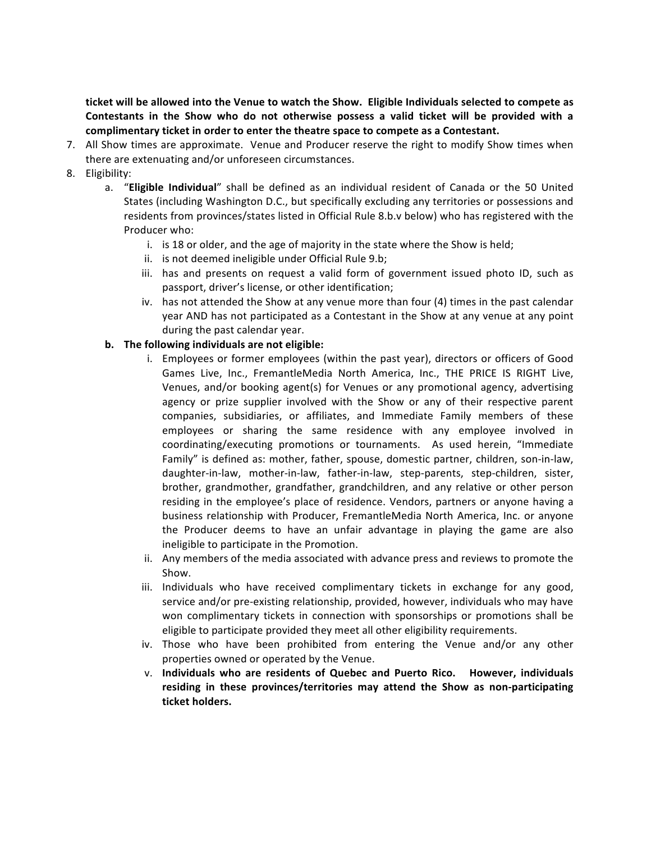ticket will be allowed into the Venue to watch the Show. Eligible Individuals selected to compete as Contestants in the Show who do not otherwise possess a valid ticket will be provided with a complimentary ticket in order to enter the theatre space to compete as a Contestant.

- 7. All Show times are approximate. Venue and Producer reserve the right to modify Show times when there are extenuating and/or unforeseen circumstances.
- 8. Eligibility:
	- a. "**Eligible Individual**" shall be defined as an individual resident of Canada or the 50 United States (including Washington D.C., but specifically excluding any territories or possessions and residents from provinces/states listed in Official Rule 8.b.v below) who has registered with the Producer who:
		- i. is 18 or older, and the age of majority in the state where the Show is held;
		- ii. is not deemed ineligible under Official Rule 9.b;
		- iii. has and presents on request a valid form of government issued photo ID, such as passport, driver's license, or other identification;
		- iv. has not attended the Show at any venue more than four (4) times in the past calendar year AND has not participated as a Contestant in the Show at any venue at any point during the past calendar year.
	- **b.** The following individuals are not eligible:
		- i. Employees or former employees (within the past year), directors or officers of Good Games Live, Inc., FremantleMedia North America, Inc., THE PRICE IS RIGHT Live, Venues, and/or booking agent(s) for Venues or any promotional agency, advertising agency or prize supplier involved with the Show or any of their respective parent companies, subsidiaries, or affiliates, and Immediate Family members of these employees or sharing the same residence with any employee involved in coordinating/executing promotions or tournaments. As used herein, "Immediate Family" is defined as: mother, father, spouse, domestic partner, children, son-in-law, daughter-in-law, mother-in-law, father-in-law, step-parents, step-children, sister, brother, grandmother, grandfather, grandchildren, and any relative or other person residing in the employee's place of residence. Vendors, partners or anyone having a business relationship with Producer, FremantleMedia North America, Inc. or anyone the Producer deems to have an unfair advantage in playing the game are also ineligible to participate in the Promotion.
		- ii. Any members of the media associated with advance press and reviews to promote the Show.
		- iii. Individuals who have received complimentary tickets in exchange for any good, service and/or pre-existing relationship, provided, however, individuals who may have won complimentary tickets in connection with sponsorships or promotions shall be eligible to participate provided they meet all other eligibility requirements.
		- iv. Those who have been prohibited from entering the Venue and/or any other properties owned or operated by the Venue.
		- v. Individuals who are residents of Quebec and Puerto Rico. However, individuals **residing** in these provinces/territories may attend the Show as non-participating **ticket holders.**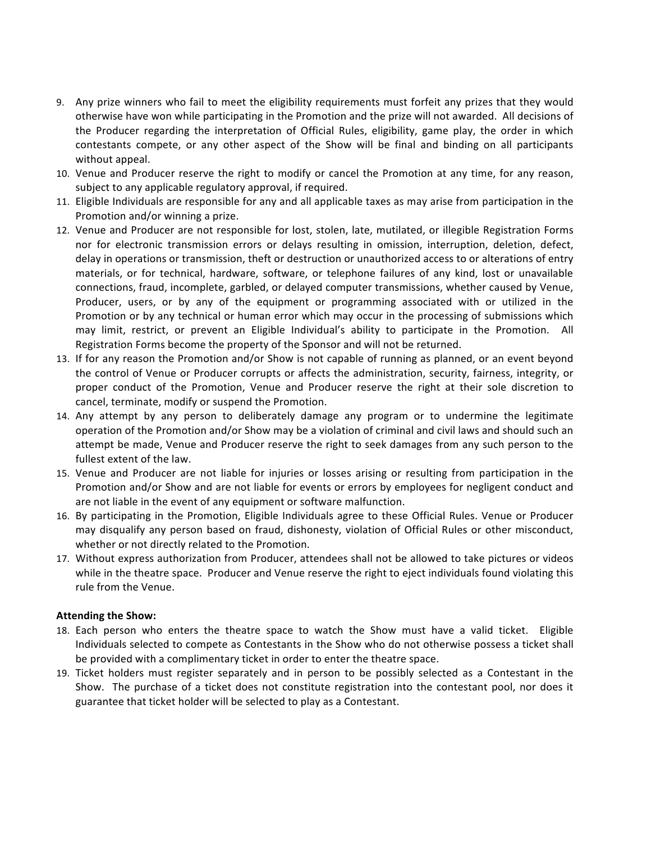- 9. Any prize winners who fail to meet the eligibility requirements must forfeit any prizes that they would otherwise have won while participating in the Promotion and the prize will not awarded. All decisions of the Producer regarding the interpretation of Official Rules, eligibility, game play, the order in which contestants compete, or any other aspect of the Show will be final and binding on all participants without appeal.
- 10. Venue and Producer reserve the right to modify or cancel the Promotion at any time, for any reason, subject to any applicable regulatory approval, if required.
- 11. Eligible Individuals are responsible for any and all applicable taxes as may arise from participation in the Promotion and/or winning a prize.
- 12. Venue and Producer are not responsible for lost, stolen, late, mutilated, or illegible Registration Forms nor for electronic transmission errors or delays resulting in omission, interruption, deletion, defect, delay in operations or transmission, theft or destruction or unauthorized access to or alterations of entry materials, or for technical, hardware, software, or telephone failures of any kind, lost or unavailable connections, fraud, incomplete, garbled, or delayed computer transmissions, whether caused by Venue, Producer, users, or by any of the equipment or programming associated with or utilized in the Promotion or by any technical or human error which may occur in the processing of submissions which may limit, restrict, or prevent an Eligible Individual's ability to participate in the Promotion. All Registration Forms become the property of the Sponsor and will not be returned.
- 13. If for any reason the Promotion and/or Show is not capable of running as planned, or an event beyond the control of Venue or Producer corrupts or affects the administration, security, fairness, integrity, or proper conduct of the Promotion, Venue and Producer reserve the right at their sole discretion to cancel, terminate, modify or suspend the Promotion.
- 14. Any attempt by any person to deliberately damage any program or to undermine the legitimate operation of the Promotion and/or Show may be a violation of criminal and civil laws and should such an attempt be made, Venue and Producer reserve the right to seek damages from any such person to the fullest extent of the law.
- 15. Venue and Producer are not liable for injuries or losses arising or resulting from participation in the Promotion and/or Show and are not liable for events or errors by employees for negligent conduct and are not liable in the event of any equipment or software malfunction.
- 16. By participating in the Promotion, Eligible Individuals agree to these Official Rules. Venue or Producer may disqualify any person based on fraud, dishonesty, violation of Official Rules or other misconduct, whether or not directly related to the Promotion.
- 17. Without express authorization from Producer, attendees shall not be allowed to take pictures or videos while in the theatre space. Producer and Venue reserve the right to eject individuals found violating this rule from the Venue.

# **Attending the Show:**

- 18. Each person who enters the theatre space to watch the Show must have a valid ticket. Eligible Individuals selected to compete as Contestants in the Show who do not otherwise possess a ticket shall be provided with a complimentary ticket in order to enter the theatre space.
- 19. Ticket holders must register separately and in person to be possibly selected as a Contestant in the Show. The purchase of a ticket does not constitute registration into the contestant pool, nor does it guarantee that ticket holder will be selected to play as a Contestant.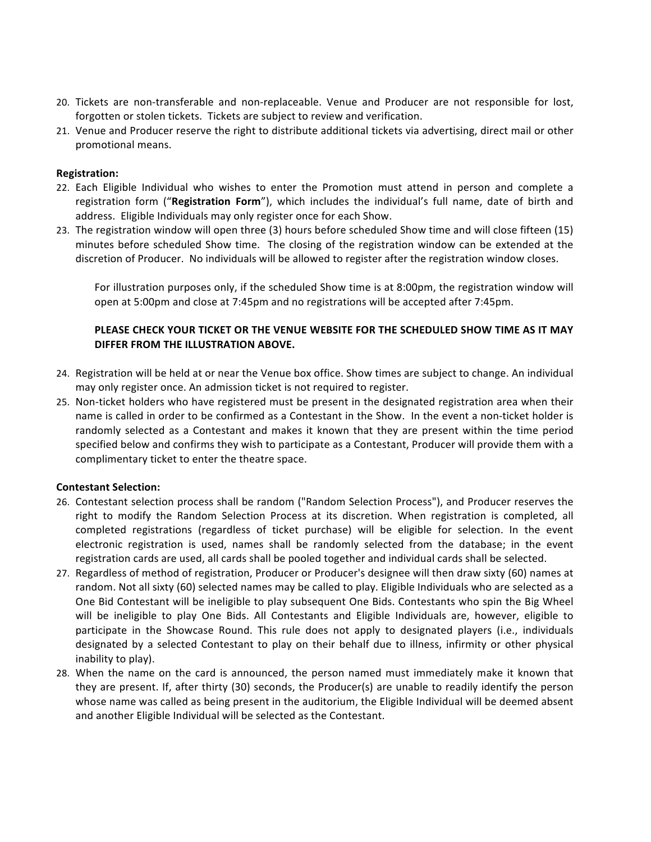- 20. Tickets are non-transferable and non-replaceable. Venue and Producer are not responsible for lost, forgotten or stolen tickets. Tickets are subject to review and verification.
- 21. Venue and Producer reserve the right to distribute additional tickets via advertising, direct mail or other promotional means.

# **Registration:**

- 22. Each Eligible Individual who wishes to enter the Promotion must attend in person and complete a registration form ("**Registration Form**"), which includes the individual's full name, date of birth and address. Eligible Individuals may only register once for each Show.
- 23. The registration window will open three (3) hours before scheduled Show time and will close fifteen (15) minutes before scheduled Show time. The closing of the registration window can be extended at the discretion of Producer. No individuals will be allowed to register after the registration window closes.

For illustration purposes only, if the scheduled Show time is at 8:00pm, the registration window will open at 5:00pm and close at 7:45pm and no registrations will be accepted after 7:45pm.

# **PLEASE CHECK YOUR TICKET OR THE VENUE WEBSITE FOR THE SCHEDULED SHOW TIME AS IT MAY DIFFER FROM THE ILLUSTRATION ABOVE.**

- 24. Registration will be held at or near the Venue box office. Show times are subject to change. An individual may only register once. An admission ticket is not required to register.
- 25. Non-ticket holders who have registered must be present in the designated registration area when their name is called in order to be confirmed as a Contestant in the Show. In the event a non-ticket holder is randomly selected as a Contestant and makes it known that they are present within the time period specified below and confirms they wish to participate as a Contestant, Producer will provide them with a complimentary ticket to enter the theatre space.

# **Contestant Selection:**

- 26. Contestant selection process shall be random ("Random Selection Process"), and Producer reserves the right to modify the Random Selection Process at its discretion. When registration is completed, all completed registrations (regardless of ticket purchase) will be eligible for selection. In the event electronic registration is used, names shall be randomly selected from the database; in the event registration cards are used, all cards shall be pooled together and individual cards shall be selected.
- 27. Regardless of method of registration, Producer or Producer's designee will then draw sixty (60) names at random. Not all sixty (60) selected names may be called to play. Eligible Individuals who are selected as a One Bid Contestant will be ineligible to play subsequent One Bids. Contestants who spin the Big Wheel will be ineligible to play One Bids. All Contestants and Eligible Individuals are, however, eligible to participate in the Showcase Round. This rule does not apply to designated players (i.e., individuals designated by a selected Contestant to play on their behalf due to illness, infirmity or other physical inability to play).
- 28. When the name on the card is announced, the person named must immediately make it known that they are present. If, after thirty (30) seconds, the Producer(s) are unable to readily identify the person whose name was called as being present in the auditorium, the Eligible Individual will be deemed absent and another Eligible Individual will be selected as the Contestant.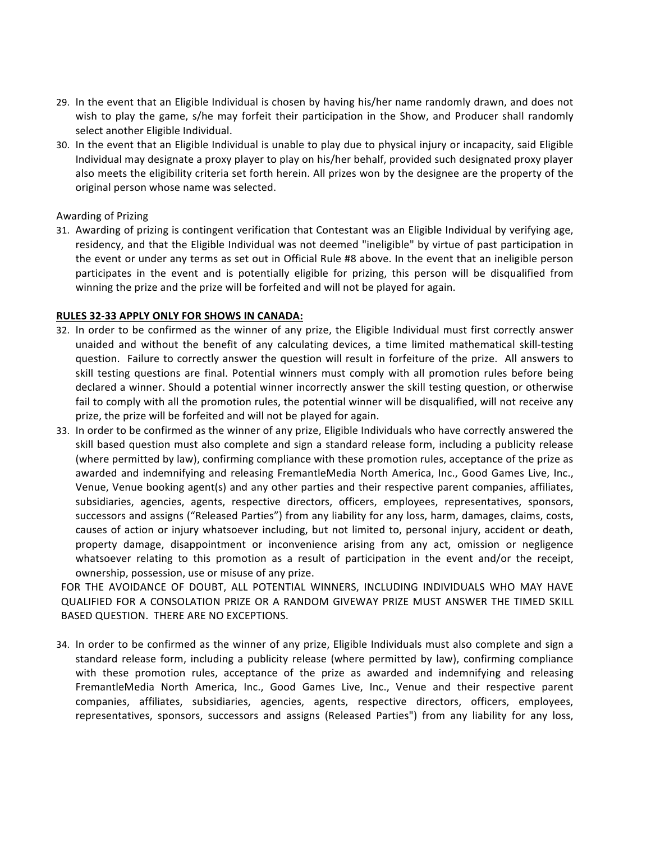- 29. In the event that an Eligible Individual is chosen by having his/her name randomly drawn, and does not wish to play the game, s/he may forfeit their participation in the Show, and Producer shall randomly select another Eligible Individual.
- 30. In the event that an Eligible Individual is unable to play due to physical injury or incapacity, said Eligible Individual may designate a proxy player to play on his/her behalf, provided such designated proxy player also meets the eligibility criteria set forth herein. All prizes won by the designee are the property of the original person whose name was selected.

## Awarding of Prizing

31. Awarding of prizing is contingent verification that Contestant was an Eligible Individual by verifying age, residency, and that the Eligible Individual was not deemed "ineligible" by virtue of past participation in the event or under any terms as set out in Official Rule #8 above. In the event that an ineligible person participates in the event and is potentially eligible for prizing, this person will be disqualified from winning the prize and the prize will be forfeited and will not be played for again.

## **RULES 32-33 APPLY ONLY FOR SHOWS IN CANADA:**

- 32. In order to be confirmed as the winner of any prize, the Eligible Individual must first correctly answer unaided and without the benefit of any calculating devices, a time limited mathematical skill-testing question. Failure to correctly answer the question will result in forfeiture of the prize. All answers to skill testing questions are final. Potential winners must comply with all promotion rules before being declared a winner. Should a potential winner incorrectly answer the skill testing question, or otherwise fail to comply with all the promotion rules, the potential winner will be disqualified, will not receive any prize, the prize will be forfeited and will not be played for again.
- 33. In order to be confirmed as the winner of any prize, Eligible Individuals who have correctly answered the skill based question must also complete and sign a standard release form, including a publicity release (where permitted by law), confirming compliance with these promotion rules, acceptance of the prize as awarded and indemnifying and releasing FremantleMedia North America, Inc., Good Games Live, Inc., Venue, Venue booking agent(s) and any other parties and their respective parent companies, affiliates, subsidiaries, agencies, agents, respective directors, officers, employees, representatives, sponsors, successors and assigns ("Released Parties") from any liability for any loss, harm, damages, claims, costs, causes of action or injury whatsoever including, but not limited to, personal injury, accident or death, property damage, disappointment or inconvenience arising from any act, omission or negligence whatsoever relating to this promotion as a result of participation in the event and/or the receipt, ownership, possession, use or misuse of any prize.

FOR THE AVOIDANCE OF DOUBT, ALL POTENTIAL WINNERS, INCLUDING INDIVIDUALS WHO MAY HAVE QUALIFIED FOR A CONSOLATION PRIZE OR A RANDOM GIVEWAY PRIZE MUST ANSWER THE TIMED SKILL BASED QUESTION. THERE ARE NO EXCEPTIONS.

34. In order to be confirmed as the winner of any prize, Eligible Individuals must also complete and sign a standard release form, including a publicity release (where permitted by law), confirming compliance with these promotion rules, acceptance of the prize as awarded and indemnifying and releasing FremantleMedia North America, Inc., Good Games Live, Inc., Venue and their respective parent companies, affiliates, subsidiaries, agencies, agents, respective directors, officers, employees, representatives, sponsors, successors and assigns (Released Parties") from any liability for any loss,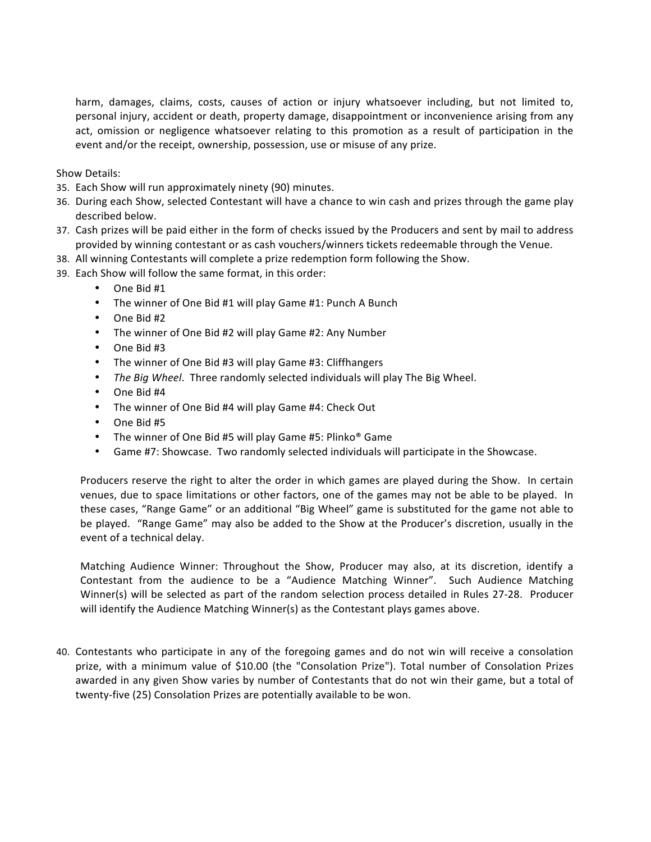harm, damages, claims, costs, causes of action or injury whatsoever including, but not limited to, personal injury, accident or death, property damage, disappointment or inconvenience arising from any act, omission or negligence whatsoever relating to this promotion as a result of participation in the event and/or the receipt, ownership, possession, use or misuse of any prize.

Show Details:

- 35. Each Show will run approximately ninety (90) minutes.
- 36. During each Show, selected Contestant will have a chance to win cash and prizes through the game play described below.
- 37. Cash prizes will be paid either in the form of checks issued by the Producers and sent by mail to address provided by winning contestant or as cash vouchers/winners tickets redeemable through the Venue.
- 38. All winning Contestants will complete a prize redemption form following the Show.
- 39. Each Show will follow the same format, in this order:
	- One Bid #1
	- The winner of One Bid #1 will play Game #1: Punch A Bunch
	- $\bullet$  One Bid #2
	- The winner of One Bid #2 will play Game #2: Any Number
	- $\bullet$  One Bid #3
	- The winner of One Bid #3 will play Game #3: Cliffhangers
	- The Big Wheel. Three randomly selected individuals will play The Big Wheel.
	- One Bid #4
	- The winner of One Bid #4 will play Game #4: Check Out
	- One Bid #5
	- The winner of One Bid #5 will play Game #5: Plinko® Game
	- Game #7: Showcase. Two randomly selected individuals will participate in the Showcase.

Producers reserve the right to alter the order in which games are played during the Show. In certain venues, due to space limitations or other factors, one of the games may not be able to be played. In these cases, "Range Game" or an additional "Big Wheel" game is substituted for the game not able to be played. "Range Game" may also be added to the Show at the Producer's discretion, usually in the event of a technical delay.

Matching Audience Winner: Throughout the Show, Producer may also, at its discretion, identify a Contestant from the audience to be a "Audience Matching Winner". Such Audience Matching Winner(s) will be selected as part of the random selection process detailed in Rules 27-28. Producer will identify the Audience Matching Winner(s) as the Contestant plays games above.

40. Contestants who participate in any of the foregoing games and do not win will receive a consolation prize, with a minimum value of \$10.00 (the "Consolation Prize"). Total number of Consolation Prizes awarded in any given Show varies by number of Contestants that do not win their game, but a total of twenty-five (25) Consolation Prizes are potentially available to be won.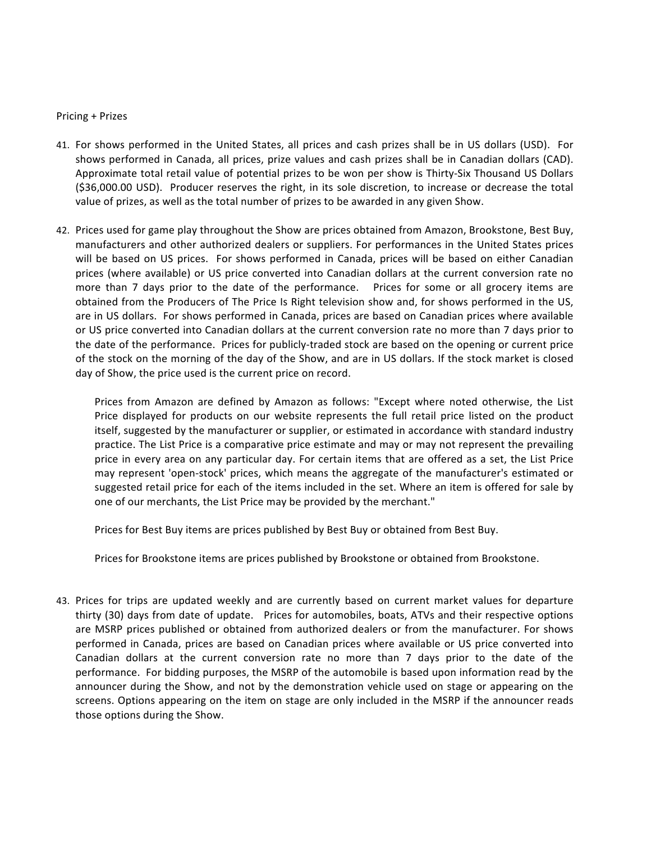#### Pricing + Prizes

- 41. For shows performed in the United States, all prices and cash prizes shall be in US dollars (USD). For shows performed in Canada, all prices, prize values and cash prizes shall be in Canadian dollars (CAD). Approximate total retail value of potential prizes to be won per show is Thirty-Six Thousand US Dollars  $(536,000.00$  USD). Producer reserves the right, in its sole discretion, to increase or decrease the total value of prizes, as well as the total number of prizes to be awarded in any given Show.
- 42. Prices used for game play throughout the Show are prices obtained from Amazon, Brookstone, Best Buy, manufacturers and other authorized dealers or suppliers. For performances in the United States prices will be based on US prices. For shows performed in Canada, prices will be based on either Canadian prices (where available) or US price converted into Canadian dollars at the current conversion rate no more than 7 days prior to the date of the performance. Prices for some or all grocery items are obtained from the Producers of The Price Is Right television show and, for shows performed in the US, are in US dollars. For shows performed in Canada, prices are based on Canadian prices where available or US price converted into Canadian dollars at the current conversion rate no more than 7 days prior to the date of the performance. Prices for publicly-traded stock are based on the opening or current price of the stock on the morning of the day of the Show, and are in US dollars. If the stock market is closed day of Show, the price used is the current price on record.

Prices from Amazon are defined by Amazon as follows: "Except where noted otherwise, the List Price displayed for products on our website represents the full retail price listed on the product itself, suggested by the manufacturer or supplier, or estimated in accordance with standard industry practice. The List Price is a comparative price estimate and may or may not represent the prevailing price in every area on any particular day. For certain items that are offered as a set, the List Price may represent 'open-stock' prices, which means the aggregate of the manufacturer's estimated or suggested retail price for each of the items included in the set. Where an item is offered for sale by one of our merchants, the List Price may be provided by the merchant."

Prices for Best Buy items are prices published by Best Buy or obtained from Best Buy.

Prices for Brookstone items are prices published by Brookstone or obtained from Brookstone.

43. Prices for trips are updated weekly and are currently based on current market values for departure thirty (30) days from date of update. Prices for automobiles, boats, ATVs and their respective options are MSRP prices published or obtained from authorized dealers or from the manufacturer. For shows performed in Canada, prices are based on Canadian prices where available or US price converted into Canadian dollars at the current conversion rate no more than 7 days prior to the date of the performance. For bidding purposes, the MSRP of the automobile is based upon information read by the announcer during the Show, and not by the demonstration vehicle used on stage or appearing on the screens. Options appearing on the item on stage are only included in the MSRP if the announcer reads those options during the Show.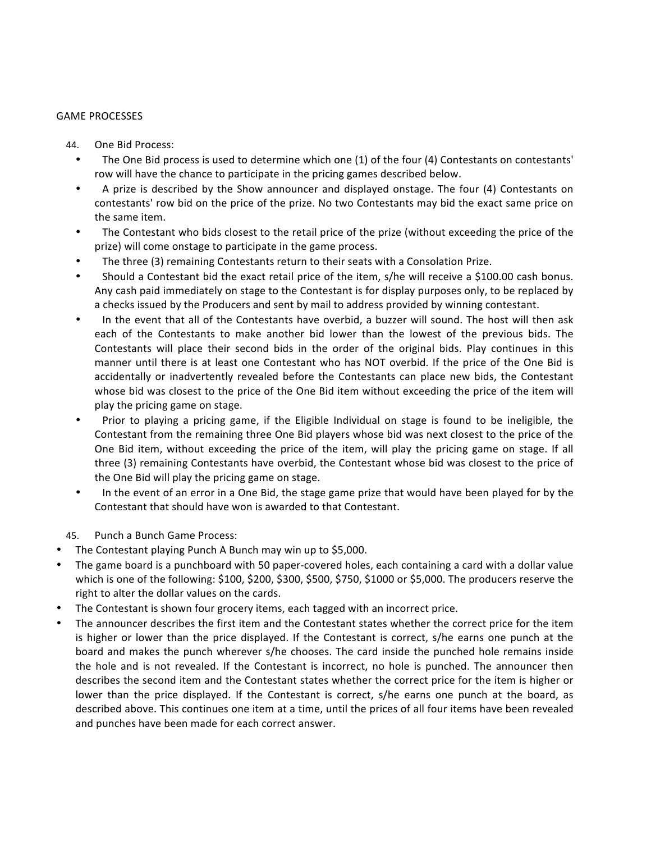#### **GAME PROCESSES**

- 44. One Bid Process:
	- The One Bid process is used to determine which one  $(1)$  of the four  $(4)$  Contestants on contestants' row will have the chance to participate in the pricing games described below.
	- A prize is described by the Show announcer and displayed onstage. The four (4) Contestants on contestants' row bid on the price of the prize. No two Contestants may bid the exact same price on the same item.
	- The Contestant who bids closest to the retail price of the prize (without exceeding the price of the prize) will come onstage to participate in the game process.
	- The three (3) remaining Contestants return to their seats with a Consolation Prize.
	- Should a Contestant bid the exact retail price of the item, s/he will receive a \$100.00 cash bonus. Any cash paid immediately on stage to the Contestant is for display purposes only, to be replaced by a checks issued by the Producers and sent by mail to address provided by winning contestant.
	- In the event that all of the Contestants have overbid, a buzzer will sound. The host will then ask each of the Contestants to make another bid lower than the lowest of the previous bids. The Contestants will place their second bids in the order of the original bids. Play continues in this manner until there is at least one Contestant who has NOT overbid. If the price of the One Bid is accidentally or inadvertently revealed before the Contestants can place new bids, the Contestant whose bid was closest to the price of the One Bid item without exceeding the price of the item will play the pricing game on stage.
	- Prior to playing a pricing game, if the Eligible Individual on stage is found to be ineligible, the Contestant from the remaining three One Bid players whose bid was next closest to the price of the One Bid item, without exceeding the price of the item, will play the pricing game on stage. If all three (3) remaining Contestants have overbid, the Contestant whose bid was closest to the price of the One Bid will play the pricing game on stage.
	- In the event of an error in a One Bid, the stage game prize that would have been played for by the Contestant that should have won is awarded to that Contestant.
- 45. Punch a Bunch Game Process:
- The Contestant playing Punch A Bunch may win up to \$5,000.
- The game board is a punchboard with 50 paper-covered holes, each containing a card with a dollar value which is one of the following: \$100, \$200, \$300, \$500, \$750, \$1000 or \$5,000. The producers reserve the right to alter the dollar values on the cards.
- The Contestant is shown four grocery items, each tagged with an incorrect price.
- The announcer describes the first item and the Contestant states whether the correct price for the item is higher or lower than the price displayed. If the Contestant is correct, s/he earns one punch at the board and makes the punch wherever s/he chooses. The card inside the punched hole remains inside the hole and is not revealed. If the Contestant is incorrect, no hole is punched. The announcer then describes the second item and the Contestant states whether the correct price for the item is higher or lower than the price displayed. If the Contestant is correct, s/he earns one punch at the board, as described above. This continues one item at a time, until the prices of all four items have been revealed and punches have been made for each correct answer.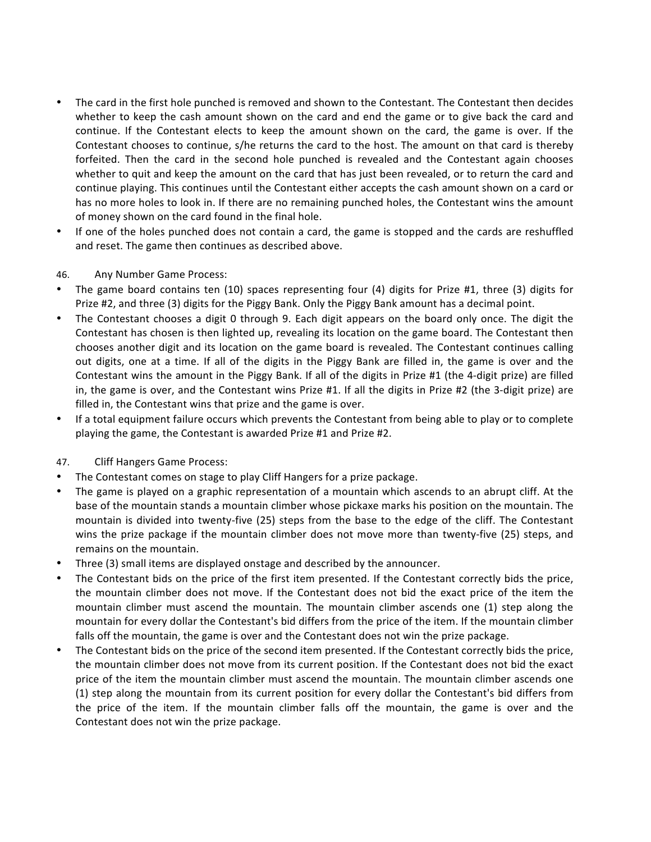- The card in the first hole punched is removed and shown to the Contestant. The Contestant then decides whether to keep the cash amount shown on the card and end the game or to give back the card and continue. If the Contestant elects to keep the amount shown on the card, the game is over. If the Contestant chooses to continue, s/he returns the card to the host. The amount on that card is thereby forfeited. Then the card in the second hole punched is revealed and the Contestant again chooses whether to quit and keep the amount on the card that has just been revealed, or to return the card and continue playing. This continues until the Contestant either accepts the cash amount shown on a card or has no more holes to look in. If there are no remaining punched holes, the Contestant wins the amount of money shown on the card found in the final hole.
- If one of the holes punched does not contain a card, the game is stopped and the cards are reshuffled and reset. The game then continues as described above.
- 46. Any Number Game Process:
- The game board contains ten (10) spaces representing four (4) digits for Prize #1, three (3) digits for Prize #2, and three (3) digits for the Piggy Bank. Only the Piggy Bank amount has a decimal point.
- The Contestant chooses a digit 0 through 9. Each digit appears on the board only once. The digit the Contestant has chosen is then lighted up, revealing its location on the game board. The Contestant then chooses another digit and its location on the game board is revealed. The Contestant continues calling out digits, one at a time. If all of the digits in the Piggy Bank are filled in, the game is over and the Contestant wins the amount in the Piggy Bank. If all of the digits in Prize #1 (the 4-digit prize) are filled in, the game is over, and the Contestant wins Prize #1. If all the digits in Prize #2 (the 3-digit prize) are filled in, the Contestant wins that prize and the game is over.
- If a total equipment failure occurs which prevents the Contestant from being able to play or to complete playing the game, the Contestant is awarded Prize #1 and Prize #2.
- 47. Cliff Hangers Game Process:
- The Contestant comes on stage to play Cliff Hangers for a prize package.
- The game is played on a graphic representation of a mountain which ascends to an abrupt cliff. At the base of the mountain stands a mountain climber whose pickaxe marks his position on the mountain. The mountain is divided into twenty-five (25) steps from the base to the edge of the cliff. The Contestant wins the prize package if the mountain climber does not move more than twenty-five (25) steps, and remains on the mountain.
- Three (3) small items are displayed onstage and described by the announcer.
- The Contestant bids on the price of the first item presented. If the Contestant correctly bids the price, the mountain climber does not move. If the Contestant does not bid the exact price of the item the mountain climber must ascend the mountain. The mountain climber ascends one (1) step along the mountain for every dollar the Contestant's bid differs from the price of the item. If the mountain climber falls off the mountain, the game is over and the Contestant does not win the prize package.
- The Contestant bids on the price of the second item presented. If the Contestant correctly bids the price, the mountain climber does not move from its current position. If the Contestant does not bid the exact price of the item the mountain climber must ascend the mountain. The mountain climber ascends one (1) step along the mountain from its current position for every dollar the Contestant's bid differs from the price of the item. If the mountain climber falls off the mountain, the game is over and the Contestant does not win the prize package.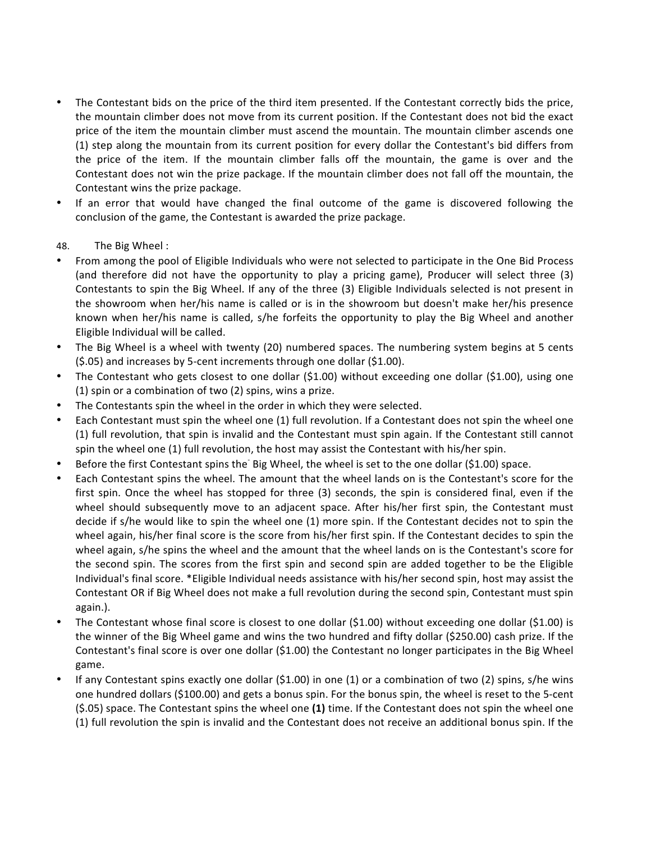- The Contestant bids on the price of the third item presented. If the Contestant correctly bids the price, the mountain climber does not move from its current position. If the Contestant does not bid the exact price of the item the mountain climber must ascend the mountain. The mountain climber ascends one (1) step along the mountain from its current position for every dollar the Contestant's bid differs from the price of the item. If the mountain climber falls off the mountain, the game is over and the Contestant does not win the prize package. If the mountain climber does not fall off the mountain, the Contestant wins the prize package.
- If an error that would have changed the final outcome of the game is discovered following the conclusion of the game, the Contestant is awarded the prize package.

# 48. The Big Wheel:

- From among the pool of Eligible Individuals who were not selected to participate in the One Bid Process (and therefore did not have the opportunity to play a pricing game), Producer will select three (3) Contestants to spin the Big Wheel. If any of the three (3) Eligible Individuals selected is not present in the showroom when her/his name is called or is in the showroom but doesn't make her/his presence known when her/his name is called, s/he forfeits the opportunity to play the Big Wheel and another Eligible Individual will be called.
- The Big Wheel is a wheel with twenty (20) numbered spaces. The numbering system begins at 5 cents (\$.05) and increases by 5-cent increments through one dollar (\$1.00).
- The Contestant who gets closest to one dollar  $(S1.00)$  without exceeding one dollar  $(S1.00)$ , using one (1) spin or a combination of two (2) spins, wins a prize.
- The Contestants spin the wheel in the order in which they were selected.
- Each Contestant must spin the wheel one (1) full revolution. If a Contestant does not spin the wheel one (1) full revolution, that spin is invalid and the Contestant must spin again. If the Contestant still cannot spin the wheel one (1) full revolution, the host may assist the Contestant with his/her spin.
- Before the first Contestant spins the Big Wheel, the wheel is set to the one dollar (\$1.00) space.
- Each Contestant spins the wheel. The amount that the wheel lands on is the Contestant's score for the first spin. Once the wheel has stopped for three  $(3)$  seconds, the spin is considered final, even if the wheel should subsequently move to an adjacent space. After his/her first spin, the Contestant must decide if s/he would like to spin the wheel one (1) more spin. If the Contestant decides not to spin the wheel again, his/her final score is the score from his/her first spin. If the Contestant decides to spin the wheel again, s/he spins the wheel and the amount that the wheel lands on is the Contestant's score for the second spin. The scores from the first spin and second spin are added together to be the Eligible Individual's final score. \*Eligible Individual needs assistance with his/her second spin, host may assist the Contestant OR if Big Wheel does not make a full revolution during the second spin, Contestant must spin again.).
- The Contestant whose final score is closest to one dollar  $(§1.00)$  without exceeding one dollar  $(§1.00)$  is the winner of the Big Wheel game and wins the two hundred and fifty dollar (\$250.00) cash prize. If the Contestant's final score is over one dollar  $(51.00)$  the Contestant no longer participates in the Big Wheel game.
- If any Contestant spins exactly one dollar  $(51.00)$  in one  $(1)$  or a combination of two  $(2)$  spins, s/he wins one hundred dollars (\$100.00) and gets a bonus spin. For the bonus spin, the wheel is reset to the 5-cent (\$.05) space. The Contestant spins the wheel one (1) time. If the Contestant does not spin the wheel one (1) full revolution the spin is invalid and the Contestant does not receive an additional bonus spin. If the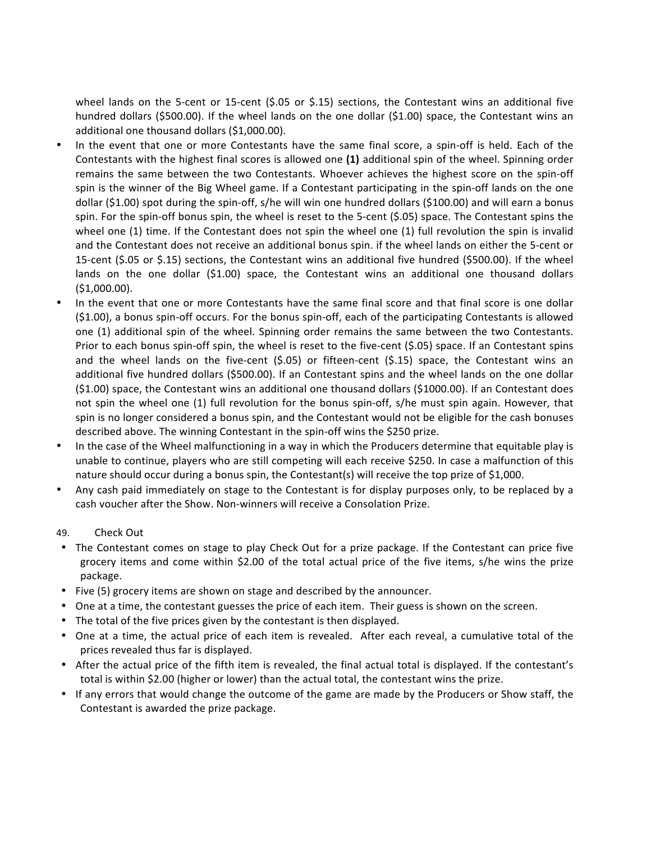wheel lands on the 5-cent or 15-cent  $(5.05 \text{ or } 5.15)$  sections, the Contestant wins an additional five hundred dollars  $(5500.00)$ . If the wheel lands on the one dollar  $(51.00)$  space, the Contestant wins an additional one thousand dollars (\$1,000.00).

- In the event that one or more Contestants have the same final score, a spin-off is held. Each of the Contestants with the highest final scores is allowed one (1) additional spin of the wheel. Spinning order remains the same between the two Contestants. Whoever achieves the highest score on the spin-off spin is the winner of the Big Wheel game. If a Contestant participating in the spin-off lands on the one dollar (\$1.00) spot during the spin-off, s/he will win one hundred dollars (\$100.00) and will earn a bonus spin. For the spin-off bonus spin, the wheel is reset to the 5-cent  $(5.05)$  space. The Contestant spins the wheel one  $(1)$  time. If the Contestant does not spin the wheel one  $(1)$  full revolution the spin is invalid and the Contestant does not receive an additional bonus spin. if the wheel lands on either the 5-cent or 15-cent (\$.05 or \$.15) sections, the Contestant wins an additional five hundred (\$500.00). If the wheel lands on the one dollar (\$1.00) space, the Contestant wins an additional one thousand dollars (\$1,000.00).
- In the event that one or more Contestants have the same final score and that final score is one dollar  $(51.00)$ , a bonus spin-off occurs. For the bonus spin-off, each of the participating Contestants is allowed one (1) additional spin of the wheel. Spinning order remains the same between the two Contestants. Prior to each bonus spin-off spin, the wheel is reset to the five-cent (\$.05) space. If an Contestant spins and the wheel lands on the five-cent  $(5.05)$  or fifteen-cent  $(5.15)$  space, the Contestant wins an additional five hundred dollars (\$500.00). If an Contestant spins and the wheel lands on the one dollar  $(51.00)$  space, the Contestant wins an additional one thousand dollars  $(51000.00)$ . If an Contestant does not spin the wheel one (1) full revolution for the bonus spin-off, s/he must spin again. However, that spin is no longer considered a bonus spin, and the Contestant would not be eligible for the cash bonuses described above. The winning Contestant in the spin-off wins the \$250 prize.
- In the case of the Wheel malfunctioning in a way in which the Producers determine that equitable play is unable to continue, players who are still competing will each receive \$250. In case a malfunction of this nature should occur during a bonus spin, the Contestant(s) will receive the top prize of \$1,000.
- Any cash paid immediately on stage to the Contestant is for display purposes only, to be replaced by a cash voucher after the Show. Non-winners will receive a Consolation Prize.
- 49. Check Out
- The Contestant comes on stage to play Check Out for a prize package. If the Contestant can price five grocery items and come within \$2.00 of the total actual price of the five items, s/he wins the prize package.
- Five (5) grocery items are shown on stage and described by the announcer.
- One at a time, the contestant guesses the price of each item. Their guess is shown on the screen.
- The total of the five prices given by the contestant is then displayed.
- One at a time, the actual price of each item is revealed. After each reveal, a cumulative total of the prices revealed thus far is displayed.
- After the actual price of the fifth item is revealed, the final actual total is displayed. If the contestant's total is within \$2.00 (higher or lower) than the actual total, the contestant wins the prize.
- If any errors that would change the outcome of the game are made by the Producers or Show staff, the Contestant is awarded the prize package.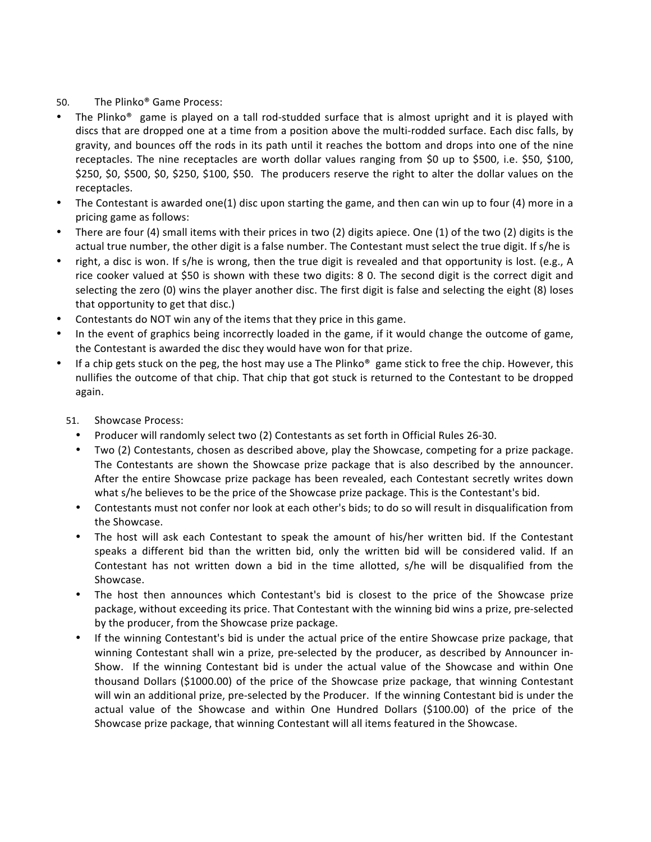# 50. The Plinko<sup>®</sup> Game Process:

- The Plinko® game is played on a tall rod-studded surface that is almost upright and it is played with discs that are dropped one at a time from a position above the multi-rodded surface. Each disc falls, by gravity, and bounces off the rods in its path until it reaches the bottom and drops into one of the nine receptacles. The nine receptacles are worth dollar values ranging from \$0 up to \$500, i.e. \$50, \$100, \$250, \$0, \$500, \$0, \$250, \$100, \$50. The producers reserve the right to alter the dollar values on the receptacles.
- The Contestant is awarded one(1) disc upon starting the game, and then can win up to four (4) more in a pricing game as follows:
- There are four (4) small items with their prices in two (2) digits apiece. One (1) of the two (2) digits is the actual true number, the other digit is a false number. The Contestant must select the true digit. If s/he is
- right, a disc is won. If s/he is wrong, then the true digit is revealed and that opportunity is lost. (e.g., A rice cooker valued at \$50 is shown with these two digits: 8 0. The second digit is the correct digit and selecting the zero  $(0)$  wins the player another disc. The first digit is false and selecting the eight  $(8)$  loses that opportunity to get that disc.)
- Contestants do NOT win any of the items that they price in this game.
- In the event of graphics being incorrectly loaded in the game, if it would change the outcome of game, the Contestant is awarded the disc they would have won for that prize.
- If a chip gets stuck on the peg, the host may use a The Plinko<sup>®</sup> game stick to free the chip. However, this nullifies the outcome of that chip. That chip that got stuck is returned to the Contestant to be dropped again.
	- 51. Showcase Process:
		- Producer will randomly select two (2) Contestants as set forth in Official Rules 26-30.
		- Two (2) Contestants, chosen as described above, play the Showcase, competing for a prize package. The Contestants are shown the Showcase prize package that is also described by the announcer. After the entire Showcase prize package has been revealed, each Contestant secretly writes down what s/he believes to be the price of the Showcase prize package. This is the Contestant's bid.
		- Contestants must not confer nor look at each other's bids; to do so will result in disqualification from the Showcase.
		- The host will ask each Contestant to speak the amount of his/her written bid. If the Contestant speaks a different bid than the written bid, only the written bid will be considered valid. If an Contestant has not written down a bid in the time allotted, s/he will be disqualified from the Showcase.
		- The host then announces which Contestant's bid is closest to the price of the Showcase prize package, without exceeding its price. That Contestant with the winning bid wins a prize, pre-selected by the producer, from the Showcase prize package.
		- If the winning Contestant's bid is under the actual price of the entire Showcase prize package, that winning Contestant shall win a prize, pre-selected by the producer, as described by Announcer in-Show. If the winning Contestant bid is under the actual value of the Showcase and within One thousand Dollars (\$1000.00) of the price of the Showcase prize package, that winning Contestant will win an additional prize, pre-selected by the Producer. If the winning Contestant bid is under the actual value of the Showcase and within One Hundred Dollars (\$100.00) of the price of the Showcase prize package, that winning Contestant will all items featured in the Showcase.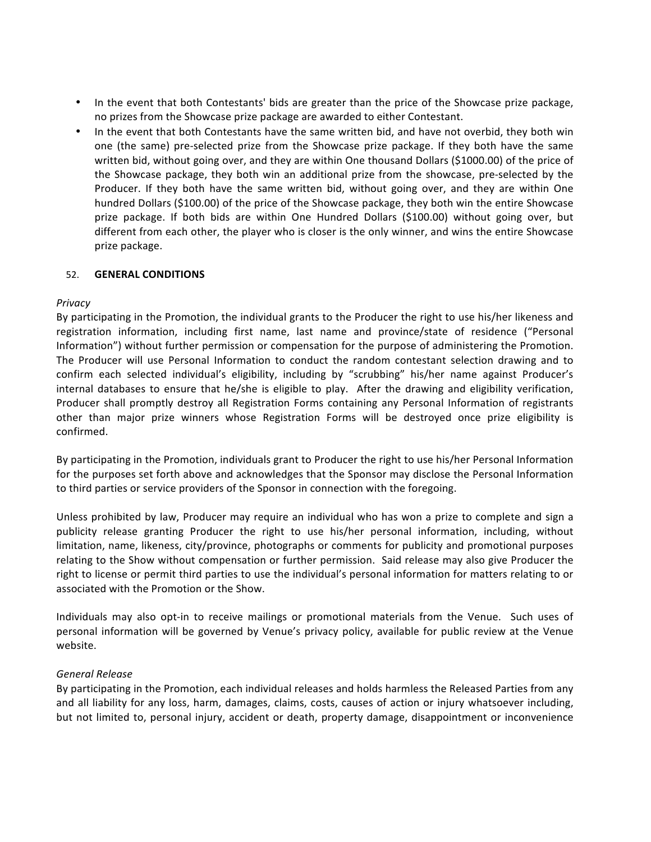- In the event that both Contestants' bids are greater than the price of the Showcase prize package, no prizes from the Showcase prize package are awarded to either Contestant.
- In the event that both Contestants have the same written bid, and have not overbid, they both win one (the same) pre-selected prize from the Showcase prize package. If they both have the same written bid, without going over, and they are within One thousand Dollars (\$1000.00) of the price of the Showcase package, they both win an additional prize from the showcase, pre-selected by the Producer. If they both have the same written bid, without going over, and they are within One hundred Dollars (\$100.00) of the price of the Showcase package, they both win the entire Showcase prize package. If both bids are within One Hundred Dollars (\$100.00) without going over, but different from each other, the player who is closer is the only winner, and wins the entire Showcase prize package.

# 52. **GENERAL CONDITIONS**

#### *Privacy*

By participating in the Promotion, the individual grants to the Producer the right to use his/her likeness and registration information, including first name, last name and province/state of residence ("Personal Information") without further permission or compensation for the purpose of administering the Promotion. The Producer will use Personal Information to conduct the random contestant selection drawing and to confirm each selected individual's eligibility, including by "scrubbing" his/her name against Producer's internal databases to ensure that he/she is eligible to play. After the drawing and eligibility verification, Producer shall promptly destroy all Registration Forms containing any Personal Information of registrants other than major prize winners whose Registration Forms will be destroyed once prize eligibility is confirmed.

By participating in the Promotion, individuals grant to Producer the right to use his/her Personal Information for the purposes set forth above and acknowledges that the Sponsor may disclose the Personal Information to third parties or service providers of the Sponsor in connection with the foregoing.

Unless prohibited by law, Producer may require an individual who has won a prize to complete and sign a publicity release granting Producer the right to use his/her personal information, including, without limitation, name, likeness, city/province, photographs or comments for publicity and promotional purposes relating to the Show without compensation or further permission. Said release may also give Producer the right to license or permit third parties to use the individual's personal information for matters relating to or associated with the Promotion or the Show.

Individuals may also opt-in to receive mailings or promotional materials from the Venue. Such uses of personal information will be governed by Venue's privacy policy, available for public review at the Venue website.

#### *General Release*

By participating in the Promotion, each individual releases and holds harmless the Released Parties from any and all liability for any loss, harm, damages, claims, costs, causes of action or injury whatsoever including, but not limited to, personal injury, accident or death, property damage, disappointment or inconvenience